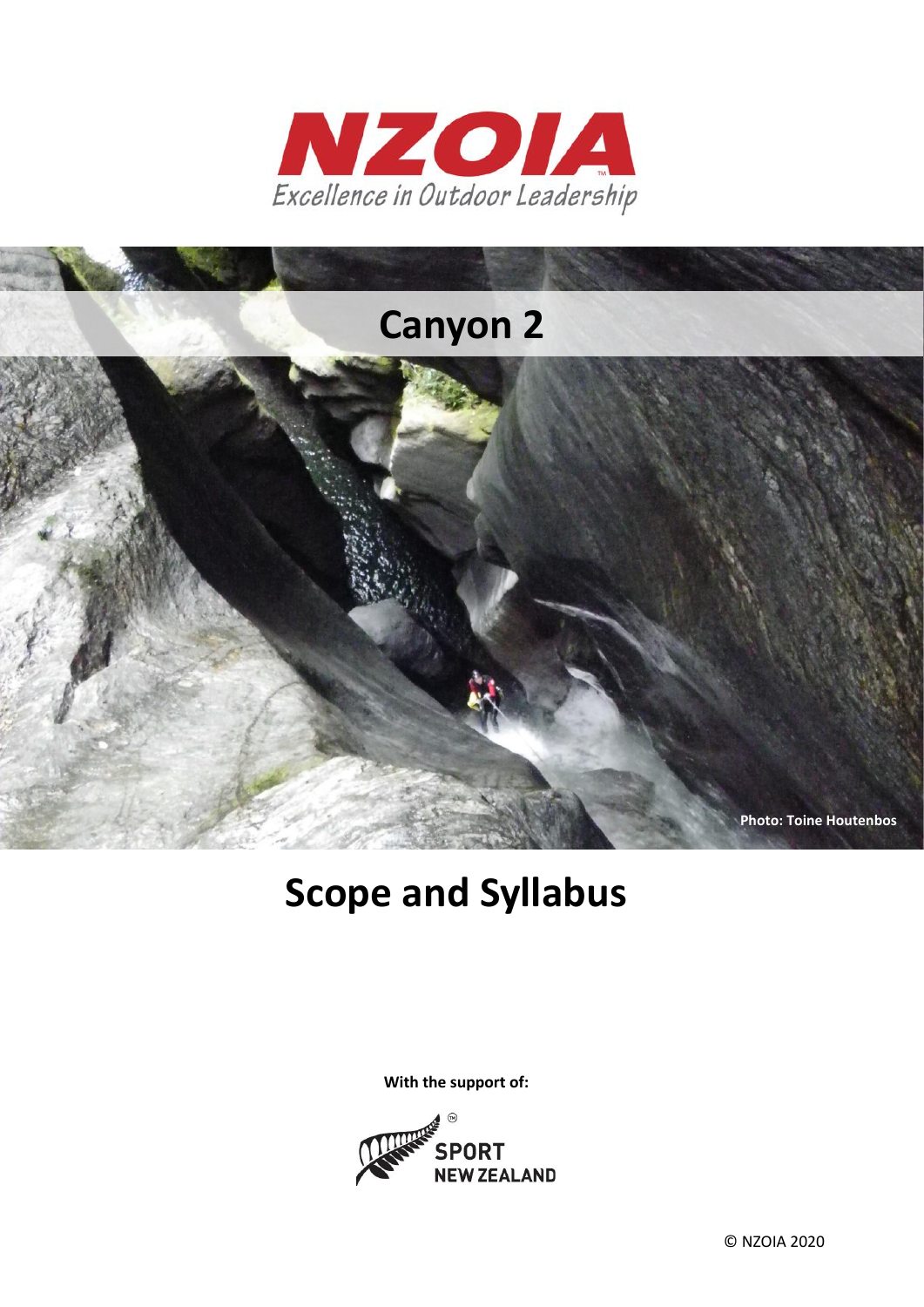



# **Scope and Syllabus**

**With the support of:**

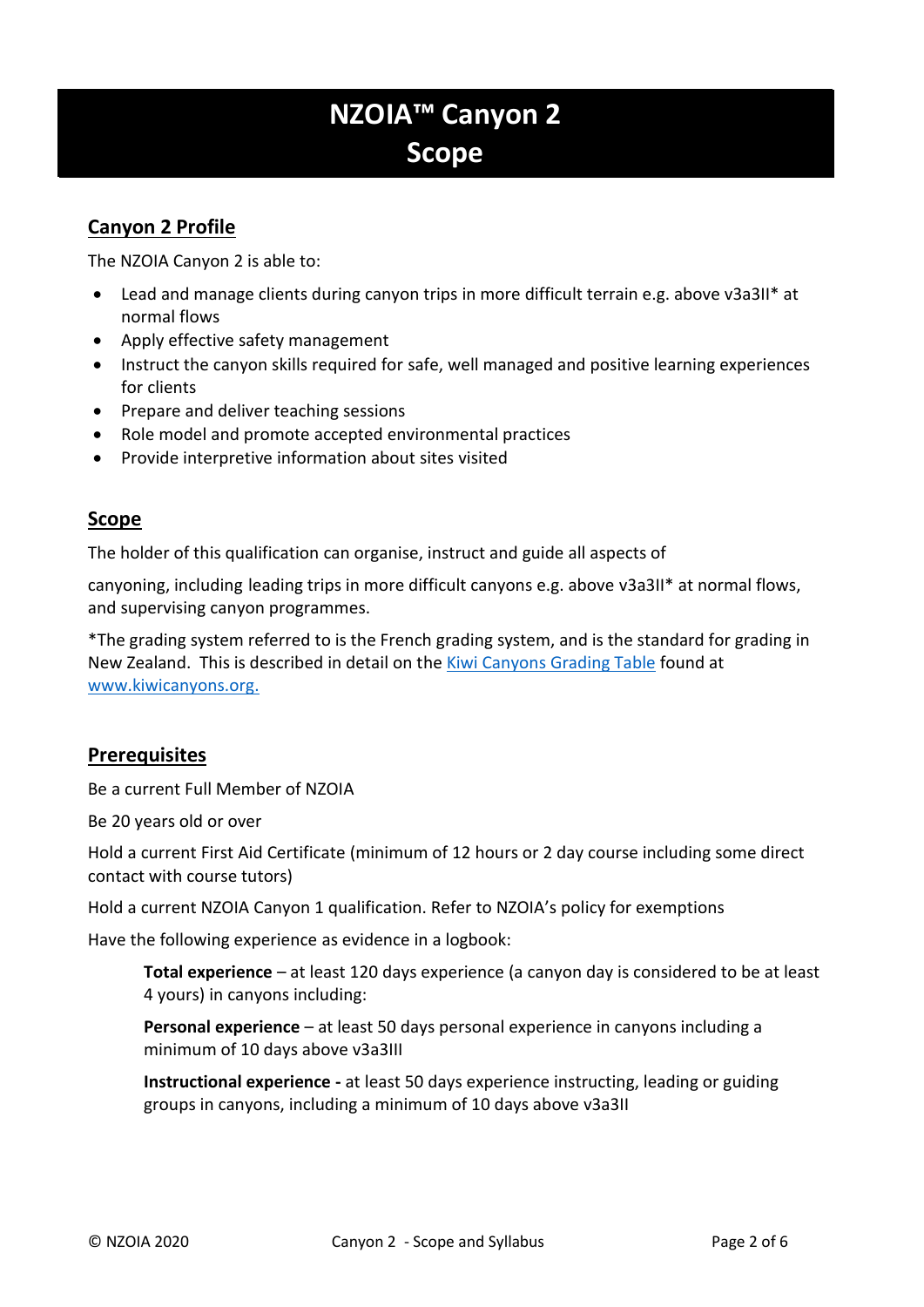# **NZOIA™ Canyon 2 Scope**

## **Canyon 2 Profile**

The NZOIA Canyon 2 is able to:

- Lead and manage clients during canyon trips in more difficult terrain e.g. above v3a3II\* at normal flows
- Apply effective safety management
- Instruct the canyon skills required for safe, well managed and positive learning experiences for clients
- Prepare and deliver teaching sessions
- Role model and promote accepted environmental practices
- Provide interpretive information about sites visited

#### **Scope**

The holder of this qualification can organise, instruct and guide all aspects of

canyoning, including leading trips in more difficult canyons e.g. above v3a3II\* at normal flows, and supervising canyon programmes.

\*The grading system referred to is the French grading system, and is the standard for grading in New Zealand. This is described in detail on the [Kiwi Canyons Grading Table](http://www.kiwicanyons.org/legend/grading/) found at [www.kiwicanyons.org.](http://www.kiwicanyons.org/)

#### **Prerequisites**

Be a current Full Member of NZOIA

Be 20 years old or over

Hold a current First Aid Certificate (minimum of 12 hours or 2 day course including some direct contact with course tutors)

Hold a current NZOIA Canyon 1 qualification. Refer to NZOIA's policy for exemptions

Have the following experience as evidence in a logbook:

**Total experience** – at least 120 days experience (a canyon day is considered to be at least 4 yours) in canyons including:

**Personal experience** – at least 50 days personal experience in canyons including a minimum of 10 days above v3a3III

**Instructional experience -** at least 50 days experience instructing, leading or guiding groups in canyons, including a minimum of 10 days above v3a3II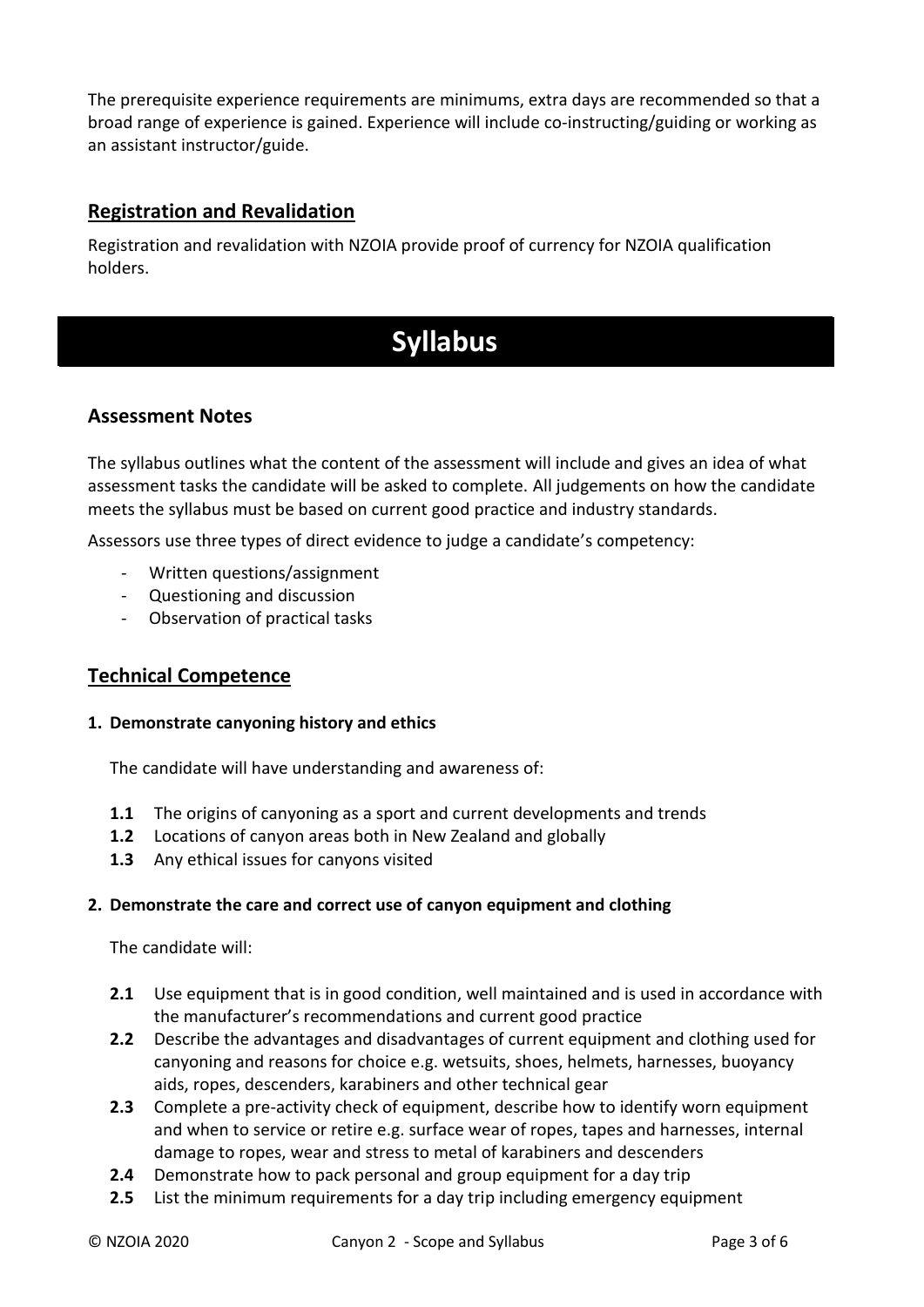The prerequisite experience requirements are minimums, extra days are recommended so that a broad range of experience is gained. Experience will include co-instructing/guiding or working as an assistant instructor/guide.

### **Registration and Revalidation**

Registration and revalidation with NZOIA provide proof of currency for NZOIA qualification holders.

# **Syllabus**

#### **Assessment Notes**

The syllabus outlines what the content of the assessment will include and gives an idea of what assessment tasks the candidate will be asked to complete. All judgements on how the candidate meets the syllabus must be based on current good practice and industry standards.

Assessors use three types of direct evidence to judge a candidate's competency:

- Written questions/assignment
- Questioning and discussion
- Observation of practical tasks

#### **Technical Competence**

#### **1. Demonstrate canyoning history and ethics**

The candidate will have understanding and awareness of:

- **1.1** The origins of canyoning as a sport and current developments and trends
- **1.2** Locations of canyon areas both in New Zealand and globally
- **1.3** Any ethical issues for canyons visited

#### **2. Demonstrate the care and correct use of canyon equipment and clothing**

The candidate will:

- **2.1** Use equipment that is in good condition, well maintained and is used in accordance with the manufacturer's recommendations and current good practice
- **2.2** Describe the advantages and disadvantages of current equipment and clothing used for canyoning and reasons for choice e.g. wetsuits, shoes, helmets, harnesses, buoyancy aids, ropes, descenders, karabiners and other technical gear
- **2.3** Complete a pre-activity check of equipment, describe how to identify worn equipment and when to service or retire e.g. surface wear of ropes, tapes and harnesses, internal damage to ropes, wear and stress to metal of karabiners and descenders
- **2.4** Demonstrate how to pack personal and group equipment for a day trip
- **2.5** List the minimum requirements for a day trip including emergency equipment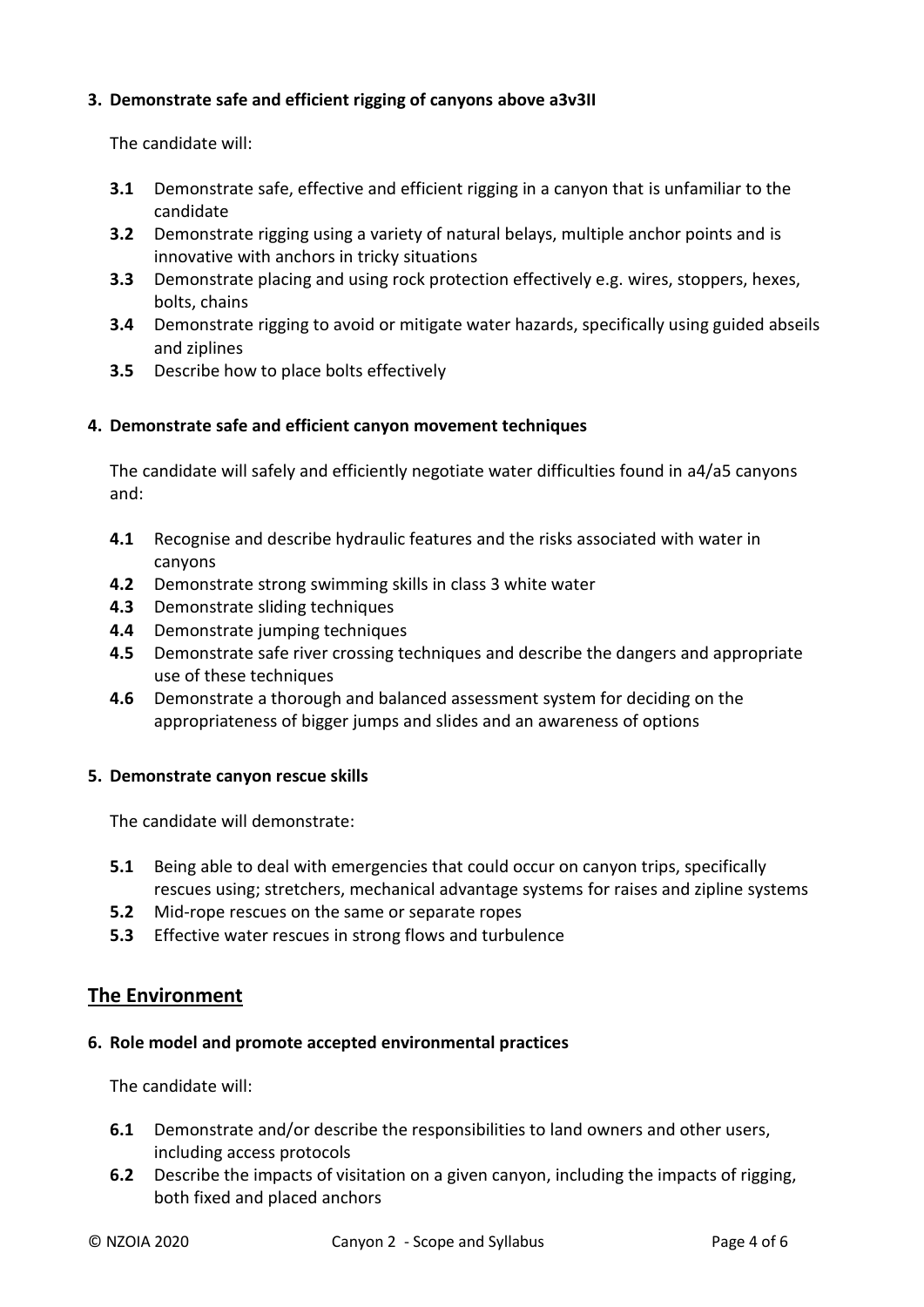#### **3. Demonstrate safe and efficient rigging of canyons above a3v3II**

The candidate will:

- **3.1** Demonstrate safe, effective and efficient rigging in a canyon that is unfamiliar to the candidate
- **3.2** Demonstrate rigging using a variety of natural belays, multiple anchor points and is innovative with anchors in tricky situations
- **3.3** Demonstrate placing and using rock protection effectively e.g. wires, stoppers, hexes, bolts, chains
- **3.4** Demonstrate rigging to avoid or mitigate water hazards, specifically using guided abseils and ziplines
- **3.5** Describe how to place bolts effectively

#### **4. Demonstrate safe and efficient canyon movement techniques**

The candidate will safely and efficiently negotiate water difficulties found in a4/a5 canyons and:

- **4.1** Recognise and describe hydraulic features and the risks associated with water in canyons
- **4.2** Demonstrate strong swimming skills in class 3 white water
- **4.3** Demonstrate sliding techniques
- **4.4** Demonstrate jumping techniques
- **4.5** Demonstrate safe river crossing techniques and describe the dangers and appropriate use of these techniques
- **4.6** Demonstrate a thorough and balanced assessment system for deciding on the appropriateness of bigger jumps and slides and an awareness of options

#### **5. Demonstrate canyon rescue skills**

The candidate will demonstrate:

- **5.1** Being able to deal with emergencies that could occur on canyon trips, specifically rescues using; stretchers, mechanical advantage systems for raises and zipline systems
- **5.2** Mid-rope rescues on the same or separate ropes
- **5.3** Effective water rescues in strong flows and turbulence

#### **The Environment**

#### **6. Role model and promote accepted environmental practices**

The candidate will:

- **6.1** Demonstrate and/or describe the responsibilities to land owners and other users, including access protocols
- **6.2** Describe the impacts of visitation on a given canyon, including the impacts of rigging, both fixed and placed anchors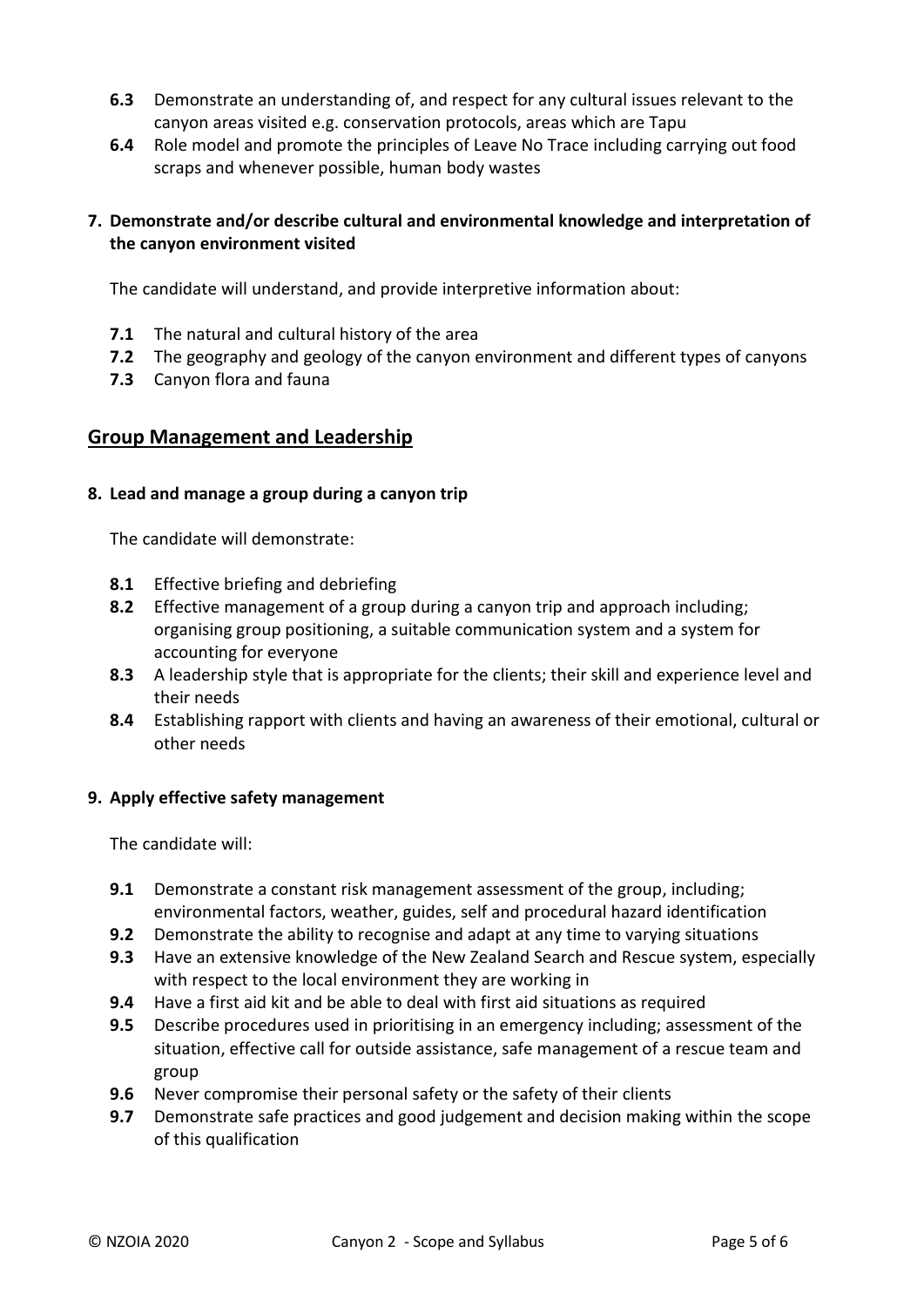- **6.3** Demonstrate an understanding of, and respect for any cultural issues relevant to the canyon areas visited e.g. conservation protocols, areas which are Tapu
- **6.4** Role model and promote the principles of Leave No Trace including carrying out food scraps and whenever possible, human body wastes

#### **7. Demonstrate and/or describe cultural and environmental knowledge and interpretation of the canyon environment visited**

The candidate will understand, and provide interpretive information about:

- **7.1** The natural and cultural history of the area
- **7.2** The geography and geology of the canyon environment and different types of canyons
- **7.3** Canyon flora and fauna

#### **Group Management and Leadership**

#### **8. Lead and manage a group during a canyon trip**

The candidate will demonstrate:

- **8.1** Effective briefing and debriefing
- **8.2** Effective management of a group during a canyon trip and approach including; organising group positioning, a suitable communication system and a system for accounting for everyone
- **8.3** A leadership style that is appropriate for the clients; their skill and experience level and their needs
- **8.4** Establishing rapport with clients and having an awareness of their emotional, cultural or other needs

#### **9. Apply effective safety management**

The candidate will:

- **9.1** Demonstrate a constant risk management assessment of the group, including; environmental factors, weather, guides, self and procedural hazard identification
- **9.2** Demonstrate the ability to recognise and adapt at any time to varying situations
- **9.3** Have an extensive knowledge of the New Zealand Search and Rescue system, especially with respect to the local environment they are working in
- **9.4** Have a first aid kit and be able to deal with first aid situations as required
- **9.5** Describe procedures used in prioritising in an emergency including; assessment of the situation, effective call for outside assistance, safe management of a rescue team and group
- **9.6** Never compromise their personal safety or the safety of their clients
- **9.7** Demonstrate safe practices and good judgement and decision making within the scope of this qualification